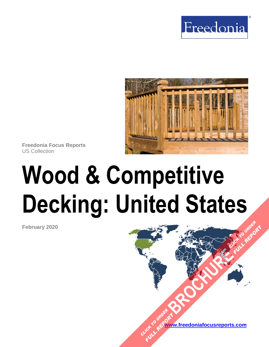



**Freedonia Focus Reports** US Collection

# **Wood & Competitive Decking: United States**

**February 2020**

**[www.freedoniafocusreports.com](https://www.freedoniafocusreports.com/redirect.asp?progid=89534&url=/)** CLICK TO ORDER **FULL REPORT** 

**[BROCHURE](https://www.freedoniafocusreports.com/Wood-Competitive-Decking-United-States-FF60021/?progid=89541) CLICK TO ORDER** 

**FULL REPORT**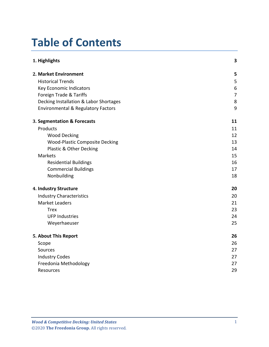# **Table of Contents**

| 1. Highlights                                 | 3              |
|-----------------------------------------------|----------------|
| 2. Market Environment                         | 5              |
| <b>Historical Trends</b>                      | 5              |
| Key Economic Indicators                       | 6              |
| Foreign Trade & Tariffs                       | $\overline{7}$ |
| Decking Installation & Labor Shortages        | 8              |
| <b>Environmental &amp; Regulatory Factors</b> | 9              |
| 3. Segmentation & Forecasts                   | 11             |
| Products                                      | 11             |
| <b>Wood Decking</b>                           | 12             |
| <b>Wood-Plastic Composite Decking</b>         | 13             |
| Plastic & Other Decking                       | 14             |
| <b>Markets</b>                                | 15             |
| <b>Residential Buildings</b>                  | 16             |
| <b>Commercial Buildings</b>                   | 17             |
| Nonbuilding                                   | 18             |
| 4. Industry Structure                         | 20             |
| <b>Industry Characteristics</b>               | 20             |
| <b>Market Leaders</b>                         | 21             |
| <b>Trex</b>                                   | 23             |
| <b>UFP Industries</b>                         | 24             |
| Weyerhaeuser                                  | 25             |
| 5. About This Report                          | 26             |
| Scope                                         | 26             |
| Sources                                       | 27             |
| <b>Industry Codes</b>                         | 27             |
| Freedonia Methodology                         | 27             |
| Resources                                     | 29             |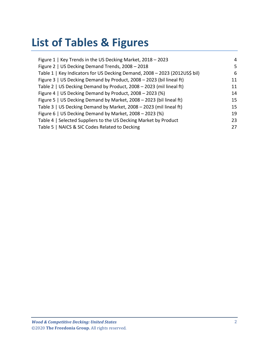# **List of Tables & Figures**

| Figure 1   Key Trends in the US Decking Market, 2018 - 2023                | 4  |
|----------------------------------------------------------------------------|----|
| Figure 2   US Decking Demand Trends, 2008 - 2018                           | 5. |
| Table 1   Key Indicators for US Decking Demand, 2008 - 2023 (2012US\$ bil) | 6  |
| Figure 3   US Decking Demand by Product, 2008 - 2023 (bil lineal ft)       | 11 |
| Table 2   US Decking Demand by Product, 2008 - 2023 (mil lineal ft)        | 11 |
| Figure 4   US Decking Demand by Product, 2008 - 2023 (%)                   | 14 |
| Figure 5   US Decking Demand by Market, 2008 - 2023 (bil lineal ft)        | 15 |
| Table 3   US Decking Demand by Market, 2008 - 2023 (mil lineal ft)         | 15 |
| Figure 6   US Decking Demand by Market, 2008 - 2023 (%)                    | 19 |
| Table 4   Selected Suppliers to the US Decking Market by Product           | 23 |
| Table 5   NAICS & SIC Codes Related to Decking                             | 27 |
|                                                                            |    |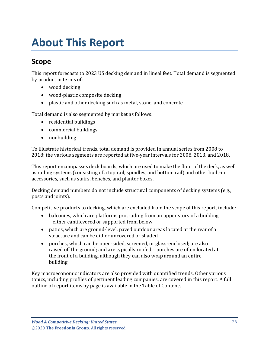# <span id="page-3-0"></span>**About This Report**

## <span id="page-3-1"></span>**Scope**

This report forecasts to 2023 US decking demand in lineal feet. Total demand is segmented by product in terms of:

- wood decking
- wood-plastic composite decking
- plastic and other decking such as metal, stone, and concrete

Total demand is also segmented by market as follows:

- residential buildings
- commercial buildings
- nonbuilding

To illustrate historical trends, total demand is provided in annual series from 2008 to 2018; the various segments are reported at five-year intervals for 2008, 2013, and 2018.

This report encompasses deck boards, which are used to make the floor of the deck, as well as railing systems (consisting of a top rail, spindles, and bottom rail) and other built-in accessories, such as stairs, benches, and planter boxes.

Decking demand numbers do not include structural components of decking systems (e.g., posts and joints).

Competitive products to decking, which are excluded from the scope of this report, include:

- balconies, which are platforms protruding from an upper story of a building – either cantilevered or supported from below
- patios, which are ground-level, paved outdoor areas located at the rear of a structure and can be either uncovered or shaded
- porches, which can be open-sided, screened, or glass-enclosed; are also raised off the ground; and are typically roofed – porches are often located at the front of a building, although they can also wrap around an entire building

Key macroeconomic indicators are also provided with quantified trends. Other various topics, including profiles of pertinent leading companies, are covered in this report. A full outline of report items by page is available in the Table of Contents.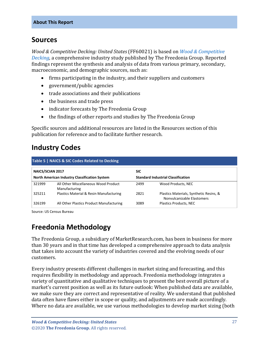### <span id="page-4-0"></span>**Sources**

*Wood & Competitive Decking: United States* (FF60021) is based on *[Wood & Competitive](http://www.freedoniagroup.com/DocumentDetails.aspx?ReferrerId=FL-FOCUS&studyid=3789)  [Decking,](http://www.freedoniagroup.com/DocumentDetails.aspx?ReferrerId=FL-FOCUS&studyid=3789)* a comprehensive industry study published by The Freedonia Group. Reported findings represent the synthesis and analysis of data from various primary, secondary, macroeconomic, and demographic sources, such as:

- firms participating in the industry, and their suppliers and customers
- government/public agencies
- trade associations and their publications
- the business and trade press
- indicator forecasts by The Freedonia Group
- the findings of other reports and studies by The Freedonia Group

Specific sources and additional resources are listed in the Resources section of this publication for reference and to facilitate further research.

# <span id="page-4-1"></span>**Industry Codes**

<span id="page-4-3"></span>

| Table 5   NAICS & SIC Codes Related to Decking       |                                                       |                                           |                                                                       |  |  |
|------------------------------------------------------|-------------------------------------------------------|-------------------------------------------|-----------------------------------------------------------------------|--|--|
| <b>NAICS/SCIAN 2017</b>                              |                                                       | <b>SIC</b>                                |                                                                       |  |  |
| <b>North American Industry Classification System</b> |                                                       | <b>Standard Industrial Classification</b> |                                                                       |  |  |
| 321999                                               | All Other Miscellaneous Wood Product<br>Manufacturing | 2499                                      | Wood Products, NEC                                                    |  |  |
| 325211                                               | Plastics Material & Resin Manufacturing               | 2821                                      | Plastics Materials, Synthetic Resins, &<br>Nonvulcanizable Elastomers |  |  |
| 326199                                               | All Other Plastics Product Manufacturing              | 3089                                      | <b>Plastics Products, NEC</b>                                         |  |  |

Source: US Census Bureau

# <span id="page-4-2"></span>**Freedonia Methodology**

The Freedonia Group, a subsidiary of MarketResearch.com, has been in business for more than 30 years and in that time has developed a comprehensive approach to data analysis that takes into account the variety of industries covered and the evolving needs of our customers.

Every industry presents different challenges in market sizing and forecasting, and this requires flexibility in methodology and approach. Freedonia methodology integrates a variety of quantitative and qualitative techniques to present the best overall picture of a market's current position as well as its future outlook: When published data are available, we make sure they are correct and representative of reality. We understand that published data often have flaws either in scope or quality, and adjustments are made accordingly. Where no data are available, we use various methodologies to develop market sizing (both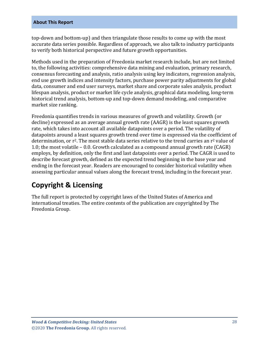#### **About This Report**

top-down and bottom-up) and then triangulate those results to come up with the most accurate data series possible. Regardless of approach, we also talk to industry participants to verify both historical perspective and future growth opportunities.

Methods used in the preparation of Freedonia market research include, but are not limited to, the following activities: comprehensive data mining and evaluation, primary research, consensus forecasting and analysis, ratio analysis using key indicators, regression analysis, end use growth indices and intensity factors, purchase power parity adjustments for global data, consumer and end user surveys, market share and corporate sales analysis, product lifespan analysis, product or market life cycle analysis, graphical data modeling, long-term historical trend analysis, bottom-up and top-down demand modeling, and comparative market size ranking.

Freedonia quantifies trends in various measures of growth and volatility. Growth (or decline) expressed as an average annual growth rate (AAGR) is the least squares growth rate, which takes into account all available datapoints over a period. The volatility of datapoints around a least squares growth trend over time is expressed via the coefficient of determination, or  $r^2$ . The most stable data series relative to the trend carries an  $r^2$  value of 1.0; the most volatile – 0.0. Growth calculated as a compound annual growth rate (CAGR) employs, by definition, only the first and last datapoints over a period. The CAGR is used to describe forecast growth, defined as the expected trend beginning in the base year and ending in the forecast year. Readers are encouraged to consider historical volatility when assessing particular annual values along the forecast trend, including in the forecast year.

# **Copyright & Licensing**

The full report is protected by copyright laws of the United States of America and international treaties. The entire contents of the publication are copyrighted by The Freedonia Group.